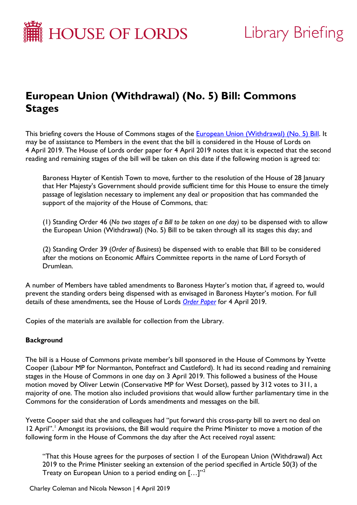

# Library Briefing

# **European Union (Withdrawal) (No. 5) Bill: Commons Stages**

This briefing covers the House of Commons stages of the **European Union (Withdrawal) (No. 5) Bill**. It may be of assistance to Members in the event that the bill is considered in the House of Lords on 4 April 2019. The House of Lords order paper for 4 April 2019 notes that it is expected that the second reading and remaining stages of the bill will be taken on this date if the following motion is agreed to:

Baroness Hayter of Kentish Town to move, further to the resolution of the House of 28 January that Her Majesty's Government should provide sufficient time for this House to ensure the timely passage of legislation necessary to implement any deal or proposition that has commanded the support of the majority of the House of Commons, that:

(1) Standing Order 46 (*No two stages of a Bill to be taken on one day)* to be dispensed with to allow the European Union (Withdrawal) (No. 5) Bill to be taken through all its stages this day; and

(2) Standing Order 39 (*Order of Business*) be dispensed with to enable that Bill to be considered after the motions on Economic Affairs Committee reports in the name of Lord Forsyth of Drumlean.

A number of Members have tabled amendments to Baroness Hayter's motion that, if agreed to, would prevent the standing orders being dispensed with as envisaged in Baroness Hayter's motion. For full details of these amendments, see the House of Lords *[Order Paper](http://lordsbusiness.parliament.uk/Documents/Download?documentId=1942&filename=OrderPaper.pdf)* for 4 April 2019.

Copies of the materials are available for collection from the Library.

### **Background**

The bill is a House of Commons private member's bill sponsored in the House of Commons by Yvette Cooper (Labour MP for Normanton, Pontefract and Castleford). It had its second reading and remaining stages in the House of Commons in one day on 3 April 2019. This followed a business of the House motion moved by Oliver Letwin (Conservative MP for West Dorset), passed by 312 votes to 311, a majority of one. The motion also included provisions that would allow further parliamentary time in the Commons for the consideration of Lords amendments and messages on the bill.

Yvette Cooper said that she and colleagues had "put forward this cross-party bill to avert no deal on [1](#page-3-0)2 April".<sup>1</sup> Amongst its provisions, the Bill would require the Prime Minister to move a motion of the following form in the House of Commons the day after the Act received royal assent:

"That this House agrees for the purposes of section 1 of the European Union (Withdrawal) Act 2019 to the Prime Minister seeking an extension of the period specified in Article 50(3) of the Treaty on European Union to a period ending on  $\left[...\right]^{n^2}$  $\left[...\right]^{n^2}$  $\left[...\right]^{n^2}$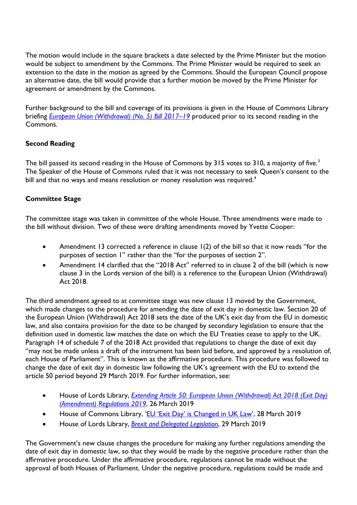The motion would include in the square brackets a date selected by the Prime Minister but the motion would be subject to amendment by the Commons. The Prime Minister would be required to seek an extension to the date in the motion as agreed by the Commons. Should the European Council propose an alternative date, the bill would provide that a further motion be moved by the Prime Minister for agreement or amendment by the Commons.

Further background to the bill and coverage of its provisions is given in the House of Commons Library briefing *[European Union \(Withdrawal\) \(No. 5\) Bill 2017](https://researchbriefings.parliament.uk/ResearchBriefing/Summary/CBP-8541)*–*19* produced prior to its second reading in the Commons.

# **Second Reading**

The bill passed its second reading in the House of Commons by [3](#page-3-2)15 votes to 310, a majority of five.<sup>3</sup> The Speaker of the House of Commons ruled that it was not necessary to seek Queen's consent to the bill and that no ways and means resolution or money resolution was required.<sup>[4](#page-3-3)</sup>

# **Committee Stage**

The committee stage was taken in committee of the whole House. Three amendments were made to the bill without division. Two of these were drafting amendments moved by Yvette Cooper:

- Amendment 13 corrected a reference in clause 1(2) of the bill so that it now reads "for the purposes of section 1" rather than the "for the purposes of section 2".
- Amendment 14 clarified that the "2018 Act" referred to in clause 2 of the bill (which is now clause 3 in the Lords version of the bill) is a reference to the European Union (Withdrawal) Act 2018.

The third amendment agreed to at committee stage was new clause 13 moved by the Government, which made changes to the procedure for amending the date of exit day in domestic law. Section 20 of the European Union (Withdrawal) Act 2018 sets the date of the UK's exit day from the EU in domestic law, and also contains provision for the date to be changed by secondary legislation to ensure that the definition used in domestic law matches the date on which the EU Treaties cease to apply to the UK. Paragraph 14 of schedule 7 of the 2018 Act provided that regulations to change the date of exit day "may not be made unless a draft of the instrument has been laid before, and approved by a resolution of, each House of Parliament". This is known as the affirmative procedure. This procedure was followed to change the date of exit day in domestic law following the UK's agreement with the EU to extend the article 50 period beyond 29 March 2019. For further information, see:

- House of Lords Library, *[Extending Article 50: European Union \(Withdrawal\) Act 2018 \(Exit Day\)](https://researchbriefings.parliament.uk/ResearchBriefing/Summary/LLN-2019-0038)  [\(Amendment\) Regulations 2019](https://researchbriefings.parliament.uk/ResearchBriefing/Summary/LLN-2019-0038)*, 26 March 2019
- House of Commons Library, ['EU 'Exit Day' is Changed in UK Law'](https://commonslibrary.parliament.uk/brexit/the-eu/eu-exit-day-is-changed-in-uk-law/), 28 March 2019
- House of Lords Library, *[Brexit and Delegated Legislation](https://researchbriefings.parliament.uk/ResearchBriefing/Summary/LLN-2019-0040)*, 29 March 2019

The Government's new clause changes the procedure for making any further regulations amending the date of exit day in domestic law, so that they would be made by the negative procedure rather than the affirmative procedure. Under the affirmative procedure, regulations cannot be made without the approval of both Houses of Parliament. Under the negative procedure, regulations could be made and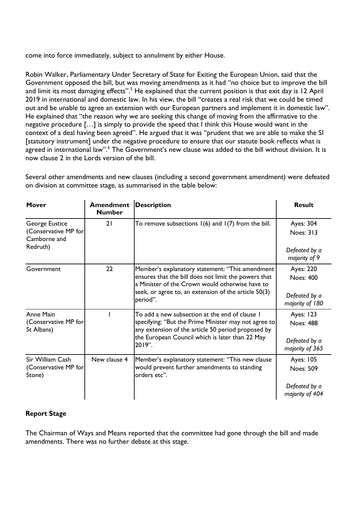come into force immediately, subject to annulment by either House.

Robin Walker, Parliamentary Under Secretary of State for Exiting the European Union, said that the Government opposed the bill, but was moving amendments as it had "no choice but to improve the bill and limit its most damaging effects".<sup>[5](#page-3-4)</sup> He explained that the current position is that exit day is 12 April 2019 in international and domestic law. In his view, the bill "creates a real risk that we could be timed out and be unable to agree an extension with our European partners and implement it in domestic law". He explained that "the reason why we are seeking this change of moving from the affirmative to the negative procedure […] is simply to provide the speed that I think this House would want in the context of a deal having been agreed". He argued that it was "prudent that we are able to make the SI [statutory instrument] under the negative procedure to ensure that our statute book reflects what is agreed in international law".<sup>[6](#page-3-5)</sup> The Government's new clause was added to the bill without division. It is now clause 2 in the Lords version of the bill.

Several other amendments and new clauses (including a second government amendment) were defeated on division at committee stage, as summarised in the table below:

| Mover                                                              | <b>Amendment</b><br><b>Number</b> | <b>Description</b>                                                                                                                                                                                                             | <b>Result</b>                                                                      |
|--------------------------------------------------------------------|-----------------------------------|--------------------------------------------------------------------------------------------------------------------------------------------------------------------------------------------------------------------------------|------------------------------------------------------------------------------------|
| George Eustice<br>(Conservative MP for<br>Camborne and<br>Redruth) | 21                                | To remove subsections $I(6)$ and $I(7)$ from the bill.                                                                                                                                                                         | Ayes: 304<br><b>Noes: 313</b><br>Defeated by a                                     |
| Government                                                         | 22                                | Member's explanatory statement: "This amendment<br>ensures that the bill does not limit the powers that<br>a Minister of the Crown would otherwise have to<br>seek, or agree to, an extension of the article 50(3)<br>period". | majority of 9<br>Ayes: 220<br><b>Noes: 400</b><br>Defeated by a<br>majority of 180 |
| Anne Main<br>(Conservative MP for<br>St Albans)                    |                                   | To add a new subsection at the end of clause I<br>specifying: "But the Prime Minister may not agree to<br>any extension of the article 50 period proposed by<br>the European Council which is later than 22 May<br>2019".      | Ayes: 123<br><b>Noes: 488</b><br>Defeated by a<br>majority of 365                  |
| Sir William Cash<br>(Conservative MP for<br>Stone)                 | New clause 4                      | Member's explanatory statement: "This new clause<br>would prevent further amendments to standing<br>orders etc".                                                                                                               | <b>Ayes: 105</b><br><b>Noes: 509</b><br>Defeated by a<br>majority of 404           |

### **Report Stage**

The Chairman of Ways and Means reported that the committee had gone through the bill and made amendments. There was no further debate at this stage.